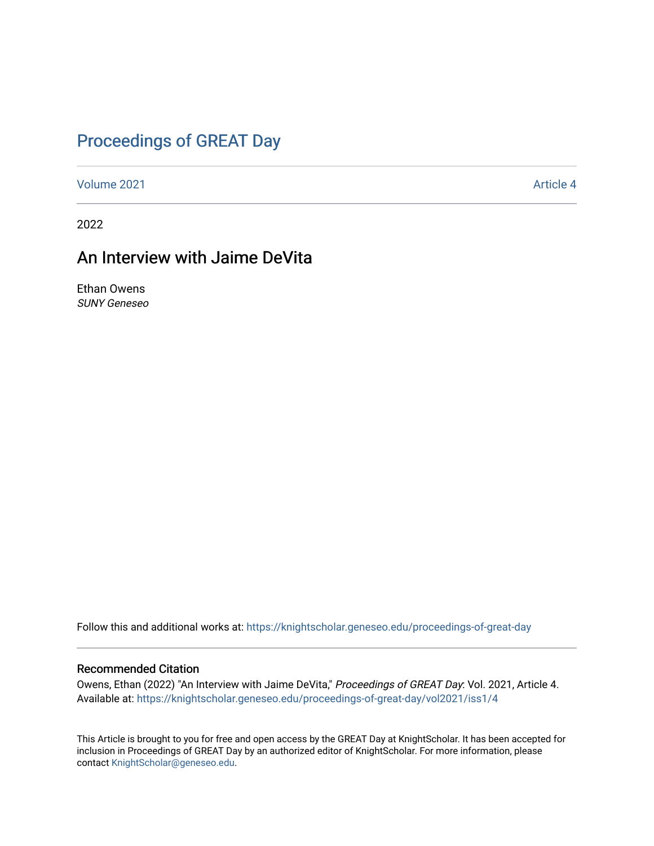### [Proceedings of GREAT Day](https://knightscholar.geneseo.edu/proceedings-of-great-day)

[Volume 2021](https://knightscholar.geneseo.edu/proceedings-of-great-day/vol2021) **Article 4** Article 4

2022

### An Interview with Jaime DeVita

Ethan Owens SUNY Geneseo

Follow this and additional works at: [https://knightscholar.geneseo.edu/proceedings-of-great-day](https://knightscholar.geneseo.edu/proceedings-of-great-day?utm_source=knightscholar.geneseo.edu%2Fproceedings-of-great-day%2Fvol2021%2Fiss1%2F4&utm_medium=PDF&utm_campaign=PDFCoverPages) 

#### Recommended Citation

Owens, Ethan (2022) "An Interview with Jaime DeVita," Proceedings of GREAT Day: Vol. 2021, Article 4. Available at: [https://knightscholar.geneseo.edu/proceedings-of-great-day/vol2021/iss1/4](https://knightscholar.geneseo.edu/proceedings-of-great-day/vol2021/iss1/4?utm_source=knightscholar.geneseo.edu%2Fproceedings-of-great-day%2Fvol2021%2Fiss1%2F4&utm_medium=PDF&utm_campaign=PDFCoverPages) 

This Article is brought to you for free and open access by the GREAT Day at KnightScholar. It has been accepted for inclusion in Proceedings of GREAT Day by an authorized editor of KnightScholar. For more information, please contact [KnightScholar@geneseo.edu.](mailto:KnightScholar@geneseo.edu)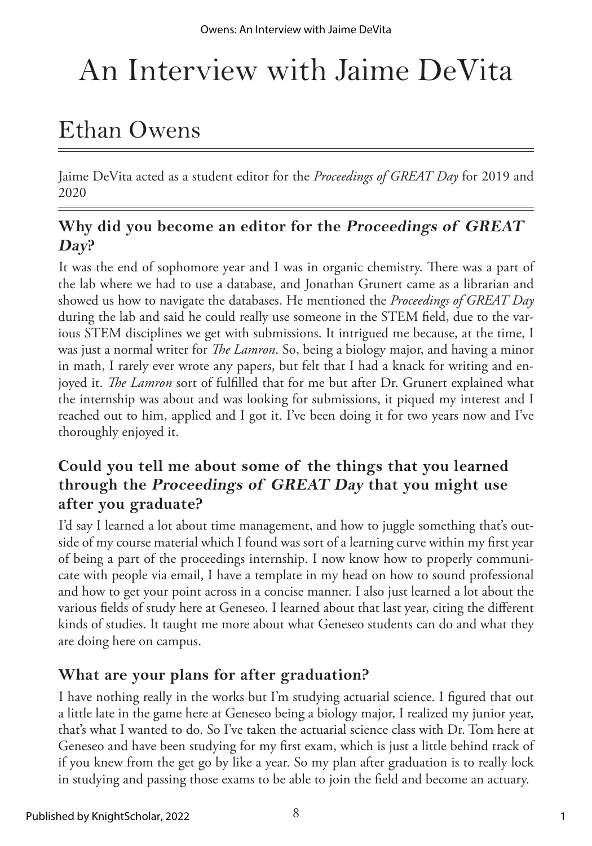# An Interview with Jaime DeVita

## Ethan Owens

Jaime DeVita acted as a student editor for the *Proceedings of GREAT Day* for 2019 and 2020

### **Why did you become an editor for the Proceedings of GREAT Day?**

It was the end of sophomore year and I was in organic chemistry. There was a part of the lab where we had to use a database, and Jonathan Grunert came as a librarian and showed us how to navigate the databases. He mentioned the *Proceedings of GREAT Day* during the lab and said he could really use someone in the STEM field, due to the various STEM disciplines we get with submissions. It intrigued me because, at the time, I was just a normal writer for *The Lamron*. So, being a biology major, and having a minor in math, I rarely ever wrote any papers, but felt that I had a knack for writing and enjoyed it. *The Lamron* sort of fulfilled that for me but after Dr. Grunert explained what the internship was about and was looking for submissions, it piqued my interest and I reached out to him, applied and I got it. I've been doing it for two years now and I've thoroughly enjoyed it.

### **Could you tell me about some of the things that you learned through the Proceedings of GREAT Day that you might use after you graduate?**

I'd say I learned a lot about time management, and how to juggle something that's outside of my course material which I found was sort of a learning curve within my first year of being a part of the proceedings internship. I now know how to properly communicate with people via email, I have a template in my head on how to sound professional and how to get your point across in a concise manner. I also just learned a lot about the various fields of study here at Geneseo. I learned about that last year, citing the different kinds of studies. It taught me more about what Geneseo students can do and what they are doing here on campus.

### **What are your plans for after graduation?**

I have nothing really in the works but I'm studying actuarial science. I figured that out a little late in the game here at Geneseo being a biology major, I realized my junior year, that's what I wanted to do. So I've taken the actuarial science class with Dr. Tom here at Geneseo and have been studying for my first exam, which is just a little behind track of if you knew from the get go by like a year. So my plan after graduation is to really lock in studying and passing those exams to be able to join the field and become an actuary.